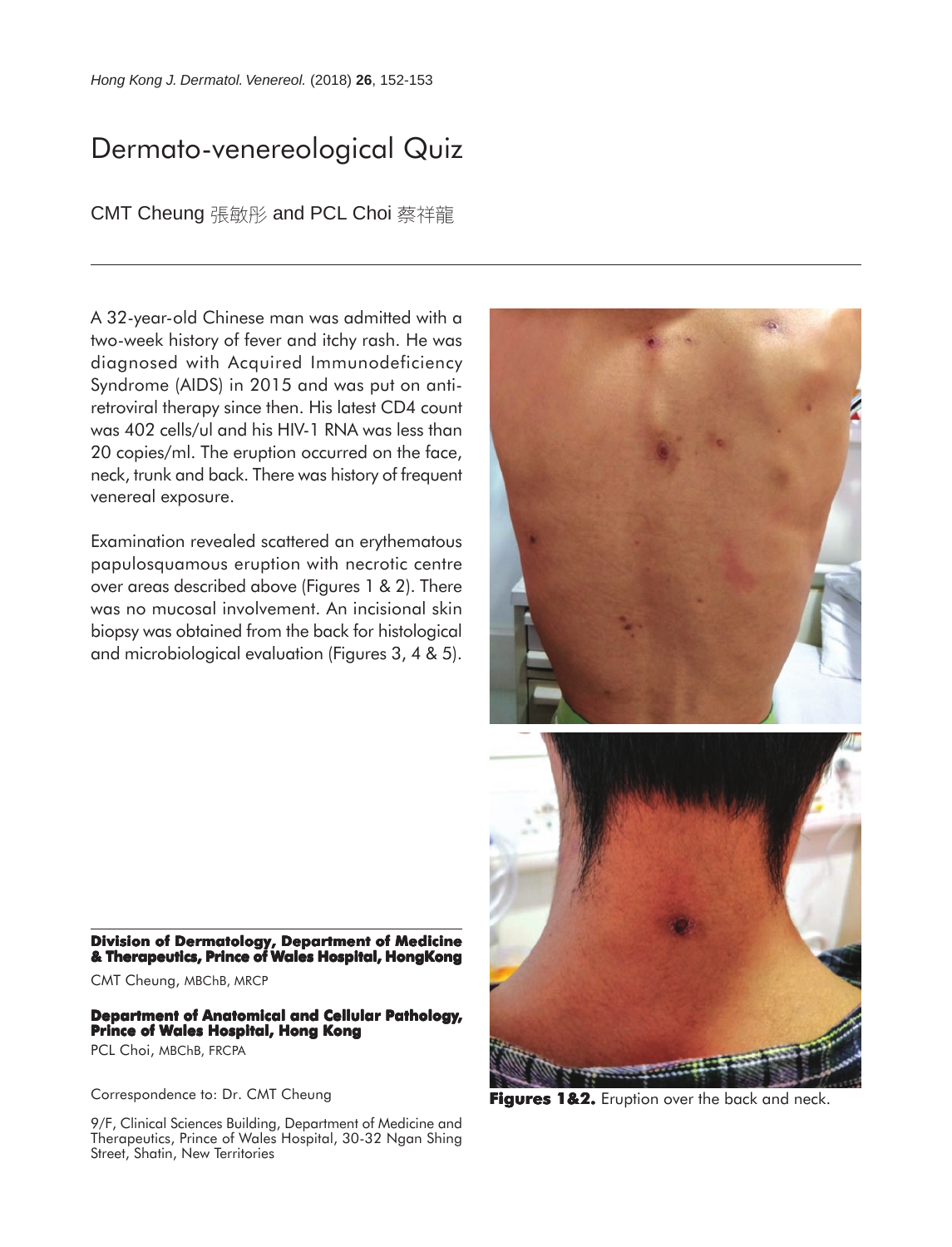## Dermato-venereological Quiz

CMT Cheung 張敏彤 and PCL Choi 蔡祥龍

A 32-year-old Chinese man was admitted with a two-week history of fever and itchy rash. He was diagnosed with Acquired Immunodeficiency Syndrome (AIDS) in 2015 and was put on antiretroviral therapy since then. His latest CD4 count was 402 cells/ul and his HIV-1 RNA was less than 20 copies/ml. The eruption occurred on the face, neck, trunk and back. There was history of frequent venereal exposure.

Examination revealed scattered an erythematous papulosquamous eruption with necrotic centre over areas described above (Figures 1 & 2). There was no mucosal involvement. An incisional skin biopsy was obtained from the back for histological and microbiological evaluation (Figures 3, 4 & 5).



Correspondence to: Dr. CMT Cheung

**Prince of Wales Hospital, Hong Kong**

CMT Cheung, MBChB, MRCP

PCL Choi, MBChB, FRCPA

9/F, Clinical Sciences Building, Department of Medicine and Therapeutics, Prince of Wales Hospital, 30-32 Ngan Shing Street, Shatin, New Territories

**Division of Dermatology, Department of Medicine & Therapeutics, Prince of Wales Hospital, HongKong**

**Department of Anatomical and Cellular Pathology,**

**Figures 1&2.** Eruption over the back and neck.